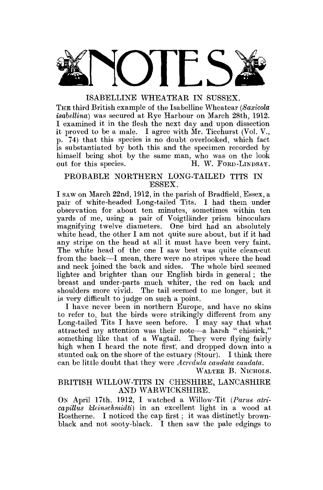

ISABELLINE WHEATEAR IN SUSSEX.<br>The third British example of the Isabelline Wheatear (Saxicola *isabellina* was secured at Rye Harbour on March 28th, 1912. I examined it in the flesh the next day and upon dissection *it* proved to be a male. I agree with Mr. Ticehurst (Vol. V.,  $p.74$ ) that this species is no doubt overlooked, which fact is substantiated by both this and the specimen recorded by himself being shot by the same man, who was on the look out for this species. H. W. FORD-LINDSAY. here the shot by the same manifold by the same manifold  $\mathbf{r}$ , who was one in the local same  $\mathbf{r}$ 

#### PROBABLE NORTHERN LONG-TAILED TITS IN **ESSEX.**

I saw on March 22nd, 1912, in the parish of Bradfield, Essex, a pair of white-headed Long-tailed Tits. I had them under observation for about ten minutes, sometimes within ten yards of me, using a pair of Voigtländer prism binoculars magnifying twelve diameters. One bird had an absolutely white head, the other I am not quite sure about, but if it had any stripe on the head at all it must have been very faint. The white head of the one I saw best was quite clean-cut from the back—I mean, there were no stripes where the head and neck joined the back and sides. The whole bird seemed lighter and brighter than our English birds in general; the breast and under-parts much whiter, the red on back and shoulders more vivid. The tail seemed to me longer, but it is very difficult to judge on such a point.

I have never been in northern Europe, and have no skins. to refer to, but the birds were strikingly different from any Long-tailed Tits I have seen before. I may say that what attracted my attention was their note-a harsh "chissick," something like that of a Wagtail. They were flying fairly high when I heard the note first; and dropped down into a stunted oak on the shore of the estuary (Stour). I think there can be little doubt that they were Acredula caudata caudata.

WALTER B. NICHOLS.

#### WALTER B. KELLY BRITISH WILLOW-TITS IN CHESHIRE, LANCASHIRE AND WARWICKSHIRE.

On April 17th, 1912, I watched a Willow-Tit (Parus atri*ca'pillus kleinschmidti)* in an excellent light in a wood at Rostherne. I noticed the cap first; it was distinctly brownblack and not sooty-black. I then saw the pale edgings to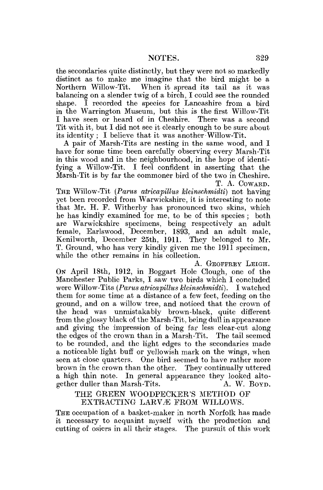the secondaries quite distinctly, but they were not so markedly distinct as to make me imagine that the bird might be a Northern Willow-Tit. When it spread its tail as it was balancing on a slender twig of a birch, I could see the rounded shape. I recorded the species for Lancashire from a bird in the Warrington Museum, but this is the first Willow-Tit I have seen or heard of in Cheshire. There was a second Tit with it, but I did not see it clearly enough to be sure about its identity ; I believe that it was another Willow-Tit.

A pair of Marsh-Tits are nesting in the same wood, and I have for some time been carefully observing every Marsh-Tit in this wood and in the neighbourhood, in the hope of identifying a Willow-Tit. I feel confident in asserting that the Marsh-Tit is by far the commoner bird of the two in Cheshire. T. A. COWABD.

THE Willow-Tit *(Parus atricapittus kleinschmidti)* not having yet been recorded from Warwickshire, it is interesting to note that Mr. H. F. Witherby has pronounced two skins, which he has kindly examined for me, to be of this species ; both are Warwickshire specimens, being respectively an adult female, Earlswood, December, 1893, and an adult male, Kenilworth, December 25th, 1911. They belonged to Mr. T. Ground, who has very kindly given me the 1911 specimen, while the other remains in his collection.

A. GEOFFREY LEIGH. ON April 18th, 1912, in Boggart Hole Clough, one of the Manchester Public Parks, I saw two birds which I concluded were Willow-Tits (Parus atricapillus kleinschmidti). I watched them for some time at a distance of a few feet, feeding on the ground, and on a willow tree, and noticed that the crown of the head was unmistakably brown-black, quite different from the glossy black of the Marsh-Tit, being dull in appearance and giving the impression of being far less clear-cut along the edges of the crown than in a Marsh-Tit. The tail seemed to be rounded, and the light edges to the secondaries made a noticeable light buff or yellowish mark on the wings, when seen at close quarters. One bird seemed to have rather more brown in the crown than the other. They continually uttered a high thin note. In general appearance they looked altogether duller than Marsh-Tits.  $A. W. BoyD.$ 

THE GREEN WOODPECKER'S METHOD OF EXTRACTING LARVÆ FROM WILLOWS.

THE occupation of a basket-maker in north Norfolk has made it necessary to acquaint myself with the production and cutting of osiers in all their stages. The pursuit of this work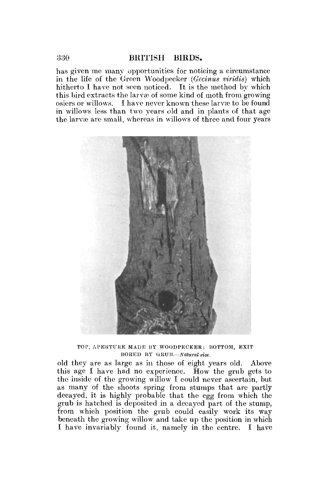has given me many opportunities for noticing a circumstance in the life of the Green Woodpecker *(Gecinus viridis)* which hitherto I have not seen noticed. It is the method by which this bird extracts the larvae of some kind of moth from growing osiers or willows. I have never known these larvae to be found in willows less than two years old and in plants of that age the larvæ are small, whereas in willows of three and four years



TOP, APERTURE MADE BY WOODPECKER; BOTTOM, EXIT BORED BY GRUB.—*Natural size.* 

old they are as large as in those of eight years old. Above this age I have had no experience. How the grub gets to the inside of the growing willow I could never ascertain, but as many of the shoots spring from stumps that are partly decayed, it is highly probable that the egg from which the grub is hatched is deposited in a decayed part of the stump, from which position the grub could easily work its way beneath the growing willow and take up the position in which I have invariably found it, namely in the centre. I have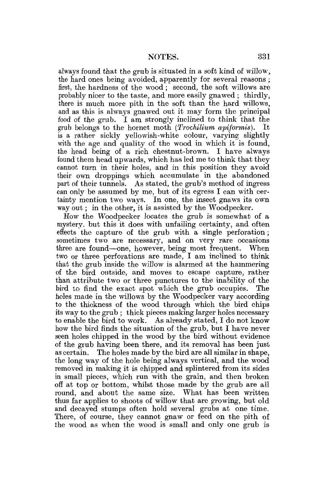always found that the grub is situated in a soft kind of willow, the hard ones being avoided, apparently for several reasons ; first, the hardness of the wood; second, the soft willows are probably nicer to the taste, and more easily gnawed ; thirdly, there is much more pith in the soft than the hard willows, and as this is always gnawed out it may form the principal food of the grub. I am strongly inclined to think that the grub belongs to the hornet moth *(Trochilium apiformis)*. is a rather sickly yellowish-white colour, varying slightly with the age and quality of the wood in which it is found, the head being of a rich chestnut-brown. I have always found them head upwards, which has led me to think that they cannot turn in their holes, and in this position they avoid their own droppings which accumulate in the abandoned part of their tunnels. As stated, the grub's method of ingress can only be assumed by me, but of its egress I can with certainty mention two ways. In one, the insect gnaws its own way out; in the other, it is assisted by the Woodpecker.

How the Woodpecker locates the grub is somewhat of a mystery, but this it does with unfailing certainty, and often effects the capture of the grub with a single perforation ; sometimes two are necessary, and on very rare occasions three are found—one, however, being most frequent. When two or three perforations are made, I am inclined to think that the grub inside the willow is alarmed at the hammering of the bird outside, and moves to escape capture, rather than attribute two or three punctures to the inability of the bird to find the exact spot which the grub occupies. The holes made in the willows by the Woodpecker vary according to the thickness of the wood through which the bird chips its way to the grub ; thick pieces making larger holes necessary to enable the bird to work. As already stated, I do not know how the bird finds the situation of the grub, but I have never seen holes chipped in the wood by the bird without evidence of the grub having been there, and its removal has been just as certain. The holes made by the bird are all similar in shape, the long way of the hole being always vertical, and the wood removed in making it is chipped and splintered from its sides in small pieces, which run with the grain, and then broken off at top or bottom, whilst those made by the grub are all round, and about the same size. What has been written thus far applies to shoots of willow that are growing, but old and decayed stumps often hold several grubs at one time. There, of course, they cannot gnaw or feed on the pith of the wood as when the wood is small and only one grub is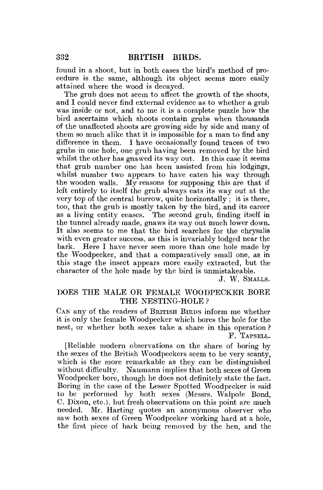found in a shoot, but in both cases the bird's method of procedure is the same, although its object seems more easily attained where the wood is decayed.

The grub does not seem to affect the growth of the shoots, and I could never find external evidence as to whether a grub was inside or not, and to me it is a complete puzzle how the bird ascertains which shoots contain grubs when thousands of the unaffected shoots are growing side by side and many of them so much alike that it is impossible for a man to find any difference in them. I have occasionally found traces of two grubs in one hole, one grub having been removed by the bird whilst the other has gnawed its way out. In this case it seems that grub number one has been assisted from his lodgings, whilst number two appears to have eaten his way through the wooden walls.  $\overline{M}v$  reasons for supposing this are that if left entirely to itself the grub always eats its way out at the very top of the central burrow, quite horizontally ; it is there, too, that the grub is mostly taken by the bird, and its career as a living entity ceases. The second grub, finding itself in the tunnel already made, gnaws its way out much lower down. It also seems to me that the bird searches for the chrysalis with even greater success, as this is invariably lodged near the bark. Here I have never seen more than one hole made by the Woodpecker, and that a comparatively small one, as in this stage the insect appears more easily extracted, but the character of the hole made by the bird is unmistakeable.

J. W. SMALLS.

## DOES THE MALE OR FEMALE WOODPECKER BORE THE NESTING-HOLE ?

CAN any of the readers of BRITISH BIRDS inform me whether it is only the female Woodpecker which bores the hole for the nest, or whether both sexes take a share in this operation? E. TAPSELL.

[Reliable modern observations on the share of boring by the sexes of the British Woodpeckers seem to be very scanty, which is the more remarkable as they can be distinguished without difficulty. Naumann implies that both sexes of Green Woodpecker bore, though he does not definitely state the fact. Boring in the case of the Lesser Spotted Woodpecker is said bothig in the case of the Besser Spotted Woodpecker is said<br>to be performed by both sexes (Messrs, Walpole Bond, C. Dixon, etc.), but fresh observations on this point are much needed. Mr. Harting quotes an anonymous observer who saw both sexes of Green Woodpecker working hard at a hole, the first piece of bark being removed by the hen, and the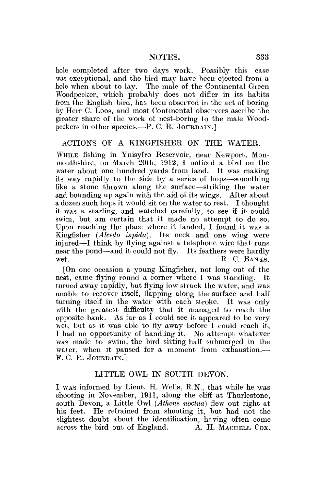hole completed after two days work. Possibly this case was exceptional, and the bird may have been ejected from a hole when about to lay. The male of the Continental Green Woodpecker, which probably does not differ in its habits from the English bird, has been observed in the act of boring by Herr C. Loos, and most Continental observers ascribe the greater share of the work of nest-boring to the male Woodpeckers in other species.— $F$ , C. R. JOURDAIN.]

# ACTIONS OF A KINGFISHER ON THE WATER.

WHILE fishing in Ynisyfro Reservoir, near Newport, Monmouthshire, on March 20th, 1912, I noticed a bird on the water about one hundred yards from land. It was making its way rapidly to the side by a series of hops—something like a stone thrown along the surface—striking the water and bounding up again with the aid of its wings. After about a dozen such hops it would sit on the water to rest. I thought it was a starling, and watched carefully, to see if it could swim, but am certain that it made no attempt to do so. Upon reaching the place where it landed, I found it was a Kingfisher *(Alcedo ispida).* Its neck and one wing were injured—I think by flying against a telephone wire that runs near the pond—and it could not fly. Its feathers were hardly wet. R. C. BANKS.

[On one occasion a young Kingfisher, not long out of the nest, came flying round a corner where I was standing. It turned away rapidly, but flying low struck the water, and was unable to recover itself, flapping along the surface and half turning itself in the water with each stroke. It was only with the greatest difficulty that it managed to reach the opposite bank. As far as  $\tilde{I}$  could see it appeared to be very wet, but as it was able to fly away before I could reach it, I had no opportunity of handling it. No attempt whatever was made to swim, the bird sitting half submerged in the water, when it paused for a moment from exhaustion.— F. C. R. JOURDAIN.]

#### LITTLE OWL IN SOUTH DEVON.

I WAS informed by Lieut. H. Wells, R.N., that while he was shooting in November, 1911, along the cliff at Thurlestone, south Devon, a Little Owl *(Athene noctua)* flew out right at his feet. He refrained from shooting it, but had not the slightest doubt about the identification, having often come across the bird out of England. A. H. MACHELL COX.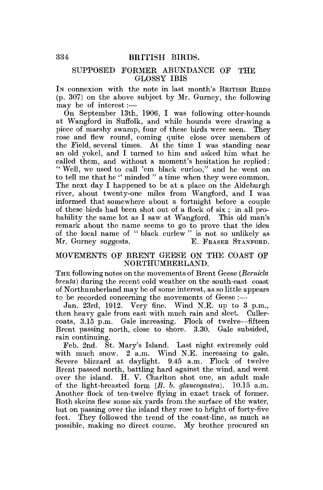# 334 BRITISH BIRDS.

#### SUPPOSED FORMER ABUNDANCE OP THE GLOSSY IBIS

In connexion with the note in last month's BRITISH BIRDS (p. 307) on the above subject by Mr. Gurney, the following may be of interest:—

On September 13th, 1906, I was following otter-hounds at Wangford in Suffolk, and while hounds were drawing a piece of marshy swamp, four of these birds were seen. They rose and flew round, coming quite close over members of the Field, several times. At the time I was standing near an old yokel, and I turned to him and asked him what he called them, and without a moment's hesitation he replied: " Well, we used to call 'em black curloo," and he went on to tell me that he " minded " a time when they were common. The next day I happened to be at a place on the Aldeburgh river, about twenty-one miles from Wangford, and I was informed that somewhere about a fortnight before a couple of these birds had been shot out of a flock of six; in all probability the same lot as I saw at Wangford. This old man's remark about the name seems to go to prove that the idea of the local name of " black curlew " is not so unlikely as Mr. Gurney suggests. E. FRASER STANFORD.

#### MOVEMENTS OF BRENT GEESE ON THE COAST OF NORTHUMBERLAND.

THE following notes on the movements of Brent Geese *(Bemicla brenta)* during the recent cold weather on the south-east coast of Northumberland may be of some interest, as so little appears to be recorded concerning the movements of Geese :—

Jan. 23rd, 1912. Very fine. Wind N.E. up to 3 p.m., then heavy gale from east with much rain and sleet. Cullercoats,  $3.\overline{15}$  p.m. Gale increasing. Flock of twelve--fifteen Brent passing north, close to shore. 3.30. Gale subsided, rain continuing.

Feb. 2nd. St. Mary's Island. Last night extremely cold with much snow.  $2^{\circ}$ a.m. Wind N.E. increasing to gale. Severe blizzard at daylight. 9.45 a.m. Flock of twelve Brent passed north, battling hard against the wind, and went over the island. H. V. Charlton shot one, an adult male of the light-breasted form *(B. b. glaucogastra).* 10.15 a.m. Another flock of ten-twelve flying in exact track of former. Both skeins flew some six yards from the surface of the water, but on passing over the island they rose to height of forty-five feet. They followed the trend of the coast-line, as much as possible, making no direct course. My brother procured an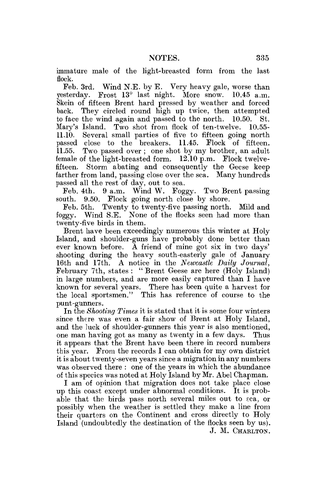immature male of the light-breasted form from the last flock.

Feb. 3rd. Wind N.E. by E. Very heavy gale, worse than yesterday. Frost 13° last night. More snow. 10.45 a.m. Skein of fifteen Brent hard pressed by weather and forced back. They circled round high up twice, then attempted to face the wind again and passed to the north. 10.50. St. Mary's Island. Two shot from flock of ten-twelve. 10.55- 11.10. Several small parties of five to fifteen going north passed close to the breakers. 11.45. Flock of fifteen. 11.55. Two passed over ; one shot by my brother, an adult female of the light-breasted form. 12.10 p.m. Flock twelvefifteen. Storm abating and consequently the Geese keep farther from land, passing close over the sea. Many hundreds passed all the rest of day, out to sea.

Feb. 4th. 9 a.m. Wind W. Foggy. Two Brent passing south. 9.50. Flock going north close by shore. Flock going north close by shore.

Feb. 5th. Twenty to twenty-five passing north. Mild and foggy. Wind S.E. None of the flocks seen had more than twenty-five birds in them.

Brent have been exceedingly numerous this winter at Holy Island, and shoulder-guns have probably done better than ever known before. A friend of mine got six in two days' shooting during the heavy south-easterly gale of January 16th and 17th. A notice in the *Newcastle Daily Journal,*  February 7th, states : "Brent Geese are here (Holy Island) in large numbers, and are more easily captured than I have known for several years. There has been quite a harvest for the local sportsmen." This has reference of course to the punt-gunners.

In the *Shooting Times* it is stated that it is some four winters since there was even a fair show of Brent at Holy Island, and the luck of shoulder-gunners this year is also mentioned, one man having got as many as twenty in a few days. Thus it appears that the Brent have been there in record numbers this year. From the records I can obtain for my own district it is about twenty-seven years since a migration in any numbers was observed there : one of the years in which the abundance of this species was noted at Holy Island by Mr. Abel Chapman.

I am of opinion that migration does not take place close up this coast except under abnormal conditions. It is probable that the birds pass north several miles out to sea, or possibly when the weather is settled they make a line from their quarters on the Continent and cross directly to Holy Island (undoubtedly the destination of the flocks seen by us). J. M. CHABLTON.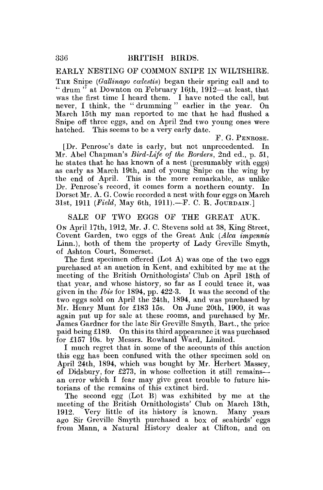EARLY NESTING OP COMMON SNIPE IN WILTSHIRE.

THE Snipe *(Gallinago colestis)* began their spring call and to " drum" at Downton on February 16th,  $19\overline{12}$ —at least, that was the first time I heard them. I have noted the call, but never, I think, the " drumming " earlier in the year. On March  $15th$  my man reported to me that he had flushed a Snipe off three eggs, and on April 2nd two young ones were hatched. This seems to be a very early date.

E. G. PENROSE.

[Dr. Penrose's date is early, but not unprecedented. In Mr. Abel Chapman's *Bird-Life of the Borders,* 2nd ed., p. 51, he states that he has known of a nest (presumably with eggs) as early as March 19th, and of young Snipe on the wing by the end of April. This is the more remarkable, as unlike Dr. Penrose's record, it comes form a northern county. In Dorset Mr. A. G. Cowie recorded a nest with four eggs on March 31st, 1911 (*Field*, May 6th, 1911).—F. C. R. JOURDAIN.]

SALE OP TWO EGGS OP THE GREAT AUK. On April 17th, 1912, Mr. J. C. Stevens sold at 38, King Street, Covent Garden, two eggs of the Great Auk *(Alca impennis*  Linn.), both of them the property of Lady Greville Smyth, of Ashton Court, Somerset.

The first specimen offered (Lot A) was one of the two eggs purchased at an auction in Kent, and exhibited by me at the meeting of the British Ornithologists' Club on April 18th of that year, and whose history, so far as I could trace it, was given in the *Ibis* for 1894, pp. 422-3. It was the second of the two eggs sold on April the 24th, 1894, and was purchased by Mr. Henry Munt for £183 15s. On June 20th, 1900, it was again put up for sale at these rooms, and purchased by Mr. James Gardner for the late Sir Greville Smyth, Bart., the price paid being £189. On this its third appearance it was purchased for £157 10s. by Messrs. Rowland Ward, Limited.

I much regret that in some of the accounts of this auction this egg has been confused with the other specimen sold on April 24th, 1894, which was bought by Mr. Herbert Massey, of Didsbury, for £273, in whose collection it still remains an error which I fear may give great trouble to future historians of the remains of this extinct bird.

The second egg (Lot B) was exhibited by me at the meeting of the British Ornithologists' Club on March 13th, 1912. Very little of its history is known. Many years ago Sir Greville Smyth purchased a box of seabirds' eggs from Mann, a Natural History dealer at Clifton, and on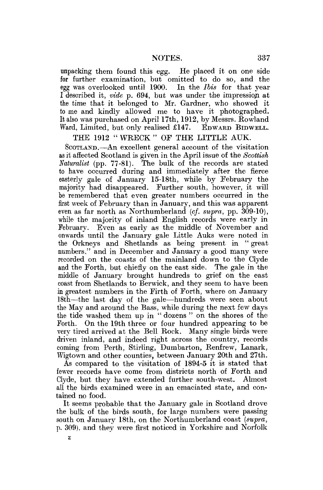unpacking them found this egg. He placed it on one side for further examination, but omitted to do so, and the egg was overlooked until 1900. In the *Ibis* for that year I described it, *vide* p. 694, but was under the impression at the time that it belonged to Mr. Gardner, who showed it to me and kindly allowed me to have it photographed. It also was purchased on April 17th, 1912, by Messrs. Rowland Ward, Limited, but only realised £147. EDWARD BIDWELL.

THE 1912 " WRECK " OF THE LITTLE AUK.

SCOTLAND.—An excellent general account of the visitation as it affected Scotland is given in the April issue of the *Scottish*  The bulk of the records are stated to have occurred during and immediately after the fierce easterly gale of January 15-18th, while by February the majority had disappeared. Further south, however, it will be remembered that even greater numbers occurred in the first week of February than in January, and this was apparent even as far north as Northumberland *(cf. supra,* pp. 309-10), while the majority of inland English records were early in February. Even as early as the middle of November and onwards until the January gale Little Auks were noted in the Orkneys and Shetlands as being present in " great numbers," and in December and January a good many were recorded on the coasts of the mainland down to the Clyde and the Forth, but chiefly on the east side. The gale in the middle of January brought hundreds to grief on the east coast from Shetlands to Berwick, and they seem to have been in greatest numbers in the Firth of Forth, where on January 18th—the last day of the gale—hundreds were seen about the May and around the Bass, while during the next few days the tide washed them up in " dozens " on the shores of the Forth. On the 19th three or four hundred appearing to be very tired arrived at the Bell Rock. Many single birds were driven inland, and indeed right across the country, records coming from Perth, Stirling, Dumbarton, Renfrew, Lanark, Wigtown and other counties, between January 20th and 27th.

As compared to the visitation of 1894-5 it is stated that fewer records have come from districts north of Forth and Clyde, but they have extended further south-west. Almost all the birds examined were in an emaciated state, and contained no food.

It seems probable that the January gale in Scotland drove the bulk of the birds south, for large numbers were passing south on January 18th, on the Northumberland coast *(supra,*  p. 309), and they were first noticed in Yorkshire and Norfolk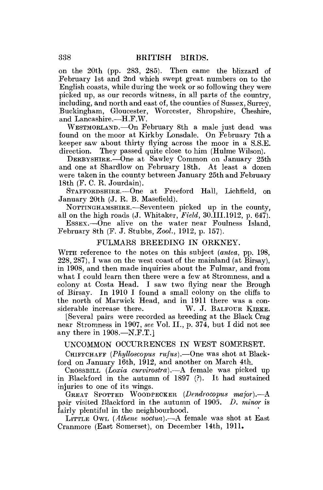on the 20th (pp. 283, 285). Then came the blizzard of February 1st and 2nd which swept great numbers on to the English coasts, while during the week or so following they were picked up, as our records witness, in all parts of the country, including, and north and east of, the counties of Sussex, Surrey, Buckingham, Gloucester, Worcester, Shropshire, Cheshire, and Lancashire.—H.F.W.

WESTMORLAND.—On February 8th a male just dead was found on the moor at Kirkby Lonsdale. On February 7th a keeper saw about thirty flying across the moor in a S.S.E. direction. They passed quite close to him (Hulme Wilson).

DERBYSHIRE.—One at Sawley Common on January 25th and one at Shardlow on February 18th. At least a dozen were taken in the county between January 25th and February 18th (F. C. R. Jourdain).

STAFFORDSHIRE. - One at Freeford Hall, Lichfield, on January 20th (J. R. B. Masefield).

NOTTINGHAMSHIRE.—Seventeen picked up in the county, all on the high roads (J. Whitaker, *Field,* 30.111.1912, p. 647).

ESSEX.—One alive on the water near Foulness Island, February 8th (F. J. Stubbs, *Zool,* 1912, p. 157).

#### FULMARS BREEDING IN ORKNEY.

WITH reference to the notes on this subject *(antea, pp. 198,* 228, 287), I was on the west coast of the mainland (at Birsay), in 1908, and then made inquiries about the Fulmar, and from what I could learn then there were a few at Stromness, and a colony at Costa Head. I saw two flying near the Brough of Birsay. In 1910 I found a small colony on the cliffs to the north of Marwick Head, and in 1911 there was a considerable increase there. W. J. BALFOUR KIRKE.

[Several pairs were recorded as breeding at the Black Crag near Stromness in 1907, *see* Vol. II., p. 374, but I did not see any there in 1908.—N.F.T.]

# UNCOMMON OCCURRENCES IN WEST SOMERSET.

CHIFFCHAFF *(Phylloscopus rufus).*—One was shot at Blackford on January 16th, 1912, and another on March 4th.

CROSSBILL *(Loxia curvirostra).*—A female was picked up in Blackford in the autumn of 1897 (?). It had sustained injuries to one of its wings.

GREAT SPOTTED WOODPECKER *(Dendrowpus major),*—A pair visited Blackford in the autumn of 1905. *D. minor* is fairly plentiful in the neighbourhood.

LITTLE OWL *(Athene noctua).*—A female was shot at East Cranmore (East Somerset), on December 14th, 1911.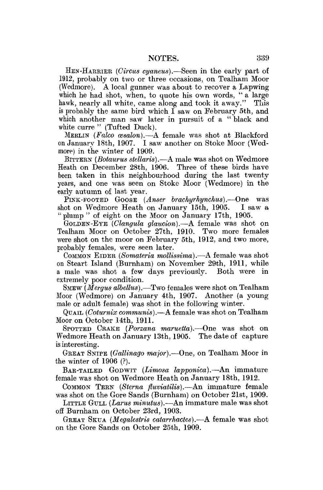HEN-HARRIER *(Circus cyaneus)*.—Seen in the early part of 1912, probably on two or three occasions, on Tealham Moor (Wedmore). A local gunner was about to recover a Lapwing which he had shot, when, to quote his own words, "a large<br>hawk, nearly all white, came along and took it away." This hawk, nearly all white, came along and took it away." is probably the same bird which  $\tilde{\mathbf{I}}$  saw on February 5th, and which another man saw later in pursuit of a "black and white curre " (Tufted Duck).

MERLIN *{Falco cesalon).*—-A female was shot at Blackford on January 18th, 1907. I saw another on Stoke Moor (Wedmore) in the winter of 1909.

BITTERN *(Botaurus stellaris).*—A male was shot on Wedmore Heath on December 28th, 1906. Three of these birds have been taken in this neighbourhood during the last twenty years, and one was seen on Stoke Moor (Wedmore) in the early autumn of last year.

PINK-FOOTED GOOSE (*Anser brachyrhynchus*).—One was ot on Wedmore Heath on January 15th, 1905. I saw a shot on Wedmore Heath on January 15th,  $1905$ . " plump " of eight on the Moor on January 17th, 1905.

GOLDEN-EYE *(Clangula glaucion).*—A female was shot on Tealham Moor on October 27th, 1910. Two more females were shot on the moor on February 5th, 1912, and two more, probably females, were seen later.

COMMON EIDER *(Somateria mollissima).*—A female was shot on Steart Island (Burnham) on November 29th, 1911, while a male was shot a few days previously. extremely poor condition.

SMEW (*Mergus albellus*).—Two females were shot on Tealham Moor (Wedmore) on January 4th, 1907. Another (a young male or adult female) was shot in the following winter.

QUAIL *(Cotumix communis).*—A female was shot on Tealham Moor on October 14th, 1911.

SPOTTED CRAKE *(Porzana maruetta).*—One was shot on Wedmore Heath on January 13th, 1905. The date of capture is interesting.

GREAT SNIPE *(Oallinago major).—One,* on Tealham Moor in the winter of 1906 (?).

BAR-TAILED GODWIT *(Limosa lapponica).*—An immature female was shot on Wedmore Heath on January 18th, 1912.

COMMON TERN *(Sterna fluviatilis).*—An immature female was shot on the Gore Sands (Burnham) on October 21st, 1909.

LITTLE GULL *(Larus minutus).*—An immature male was shot off Burnham on October 23rd, 1903.

GREAT SKUA *(Megalestris catarrhactes).—A* female was shot on the Gore Sands on October 25th, 1909.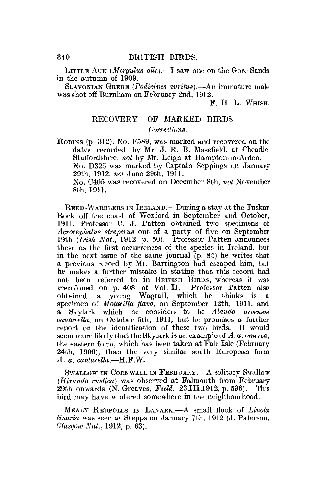LITTLE AUK *(Mergulus alle).—I* saw one on the Gore Sands in the autumn of 1909.

SLAVONIAN GREBE *(Podicipes auritus).*—An immature male was shot off Burnham on February 2nd, 1912.

F. H. L. WHISH.

#### RECOVERY OF MARKED BIRDS.

#### *Corrections.*

ROBINS (p. 312). No. F589, was marked and recovered on the dates recorded by Mr. J. R. B. Masefield, at Cheadle, Staffordshire, *not* by Mr. Leigh at Hampton-in-Arden. No. D325 was marked by Captain Seppings on January 29th, 1912, *not* June 29th, 1911. No. C405 was recovered on December 8th, *not* November 8th, 1911.

REED-WARBLERS IN IRELAND.—During a stay at the Tuskar Rock off the coast of Wexford in September and October, 1911, Professor C. J. Patten obtained two specimens of *Acrocephalus streperus* out of a party of five on September 19th *(Irish Nat.,* 1912, p. 50). Professor Patten announces these as the first occurrences of the species in Ireland, but in the next issue of the same journal  $(p. 84)$  he writes that a previous record by Mr. Barrington had escaped him, but he makes a further mistake in stating that this record had not been referred to in BRITISH BIRDS, whereas it was mentioned on p. 408 of Vol. II. Professor Patten also obtained a young Wagtail, which he thinks is specimen of *Motacilla flava*, on September 12th, 1911, and a Skylark which he considers to be *Alauda arvensis cantarella,* on October 5th, 1911, but he promises a further report on the identification of these two birds. It would seem more likely that the Skylark is an example of A.a. cinerea, the eastern form, which has been taken at Fair Isle (February 24th, 1906), than the very similar south European form *A. a. cantarella.—*H.F.W,

SWALLOW IN CORNWALL IN FEBRUARY.—A solitary Swallow *(Hirundo rustica)* was observed at Falmouth from February 29th onwards (N. Greaves, *Field,* 23.111.1912, p. 596). This bird may have wintered somewhere in the neighbourhood.

MEALY REDPOLLS IN LANARK.—A small flock of *Linota linaria* was seen at Stepps on January 7th, 1912 (J. Paterson, *Glasgow Nat.,* 1912, p. 63).